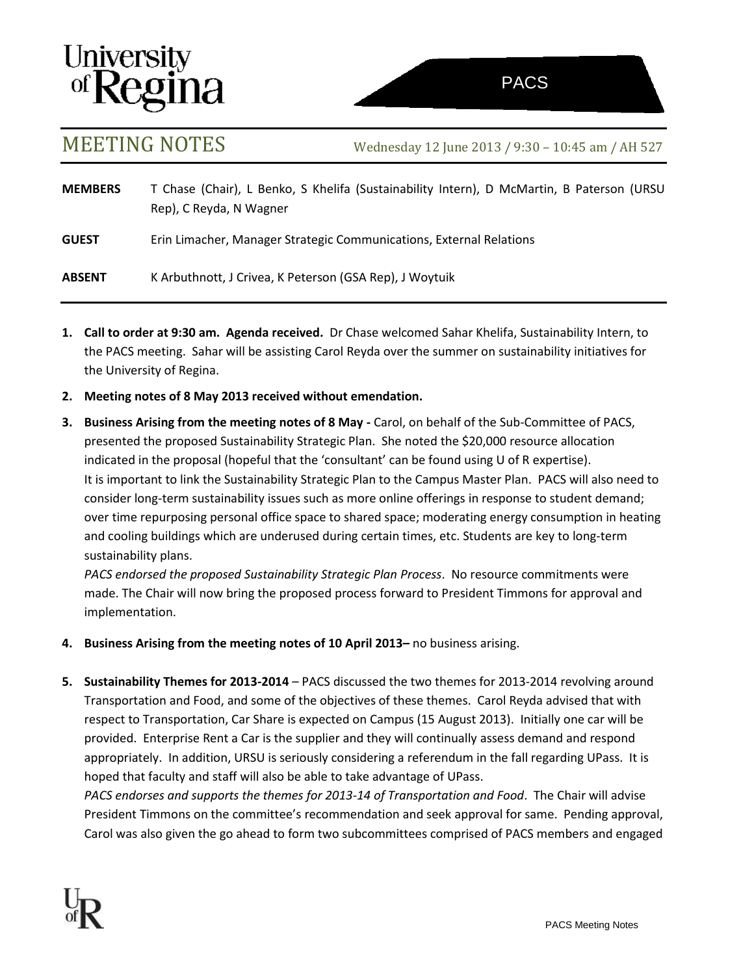# **University**<br>of **Regina**

MEETING NOTES Wednesday <sup>12</sup> June <sup>2013</sup> / 9:30 – 10:45 am / AH <sup>527</sup>

**MEMBERS** T Chase (Chair), L Benko, S Khelifa (Sustainability Intern), D McMartin, B Paterson (URSU Rep), C Reyda, N Wagner **GUEST** Erin Limacher, Manager Strategic Communications, External Relations

**ABSENT** K Arbuthnott, J Crivea, K Peterson (GSA Rep), J Woytuik

- **1. Call to order at 9:30 am. Agenda received.** Dr Chase welcomed Sahar Khelifa, Sustainability Intern, to the PACS meeting. Sahar will be assisting Carol Reyda over the summer on sustainability initiatives for the University of Regina.
- **2. Meeting notes of 8 May 2013 received without emendation.**
- **3. Business Arising from the meeting notes of 8 May -** Carol, on behalf of the Sub-Committee of PACS, presented the proposed Sustainability Strategic Plan. She noted the \$20,000 resource allocation indicated in the proposal (hopeful that the 'consultant' can be found using U of R expertise). It is important to link the Sustainability Strategic Plan to the Campus Master Plan. PACS will also need to consider long-term sustainability issues such as more online offerings in response to student demand; over time repurposing personal office space to shared space; moderating energy consumption in heating and cooling buildings which are underused during certain times, etc. Students are key to long-term sustainability plans.

*PACS endorsed the proposed Sustainability Strategic Plan Process*. No resource commitments were made. The Chair will now bring the proposed process forward to President Timmons for approval and implementation.

- **4. Business Arising from the meeting notes of 10 April 2013–** no business arising.
- **5. Sustainability Themes for 2013-2014**  PACS discussed the two themes for 2013-2014 revolving around Transportation and Food, and some of the objectives of these themes. Carol Reyda advised that with respect to Transportation, Car Share is expected on Campus (15 August 2013). Initially one car will be provided. Enterprise Rent a Car is the supplier and they will continually assess demand and respond appropriately. In addition, URSU is seriously considering a referendum in the fall regarding UPass. It is hoped that faculty and staff will also be able to take advantage of UPass.

*PACS endorses and supports the themes for 2013-14 of Transportation and Food*. The Chair will advise President Timmons on the committee's recommendation and seek approval for same. Pending approval, Carol was also given the go ahead to form two subcommittees comprised of PACS members and engaged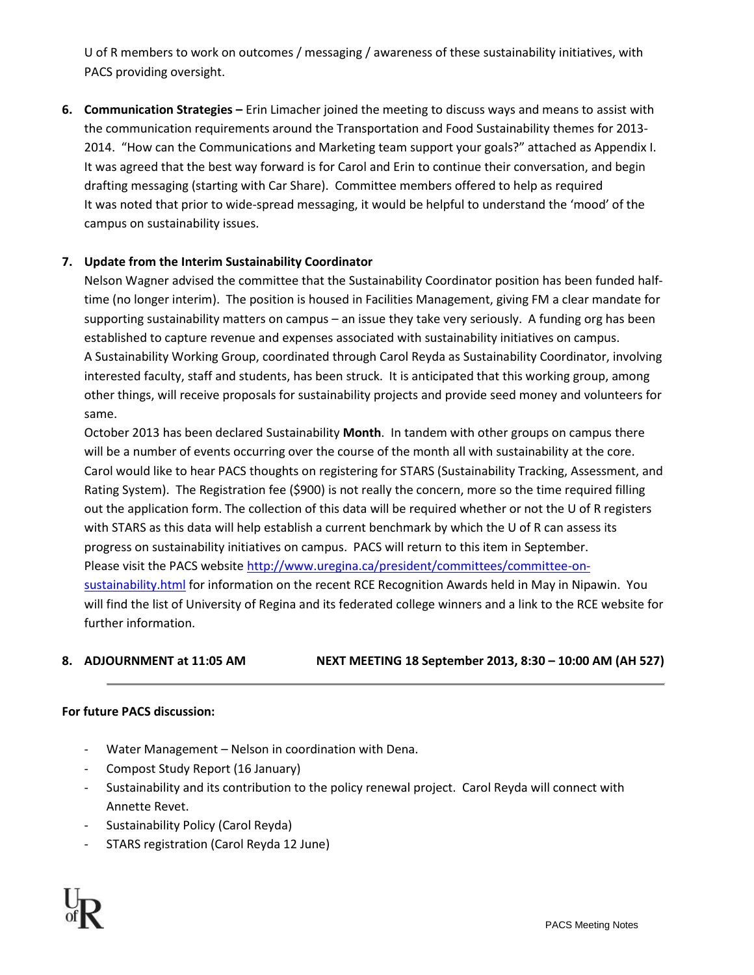U of R members to work on outcomes / messaging / awareness of these sustainability initiatives, with PACS providing oversight.

**6. Communication Strategies –** Erin Limacher joined the meeting to discuss ways and means to assist with the communication requirements around the Transportation and Food Sustainability themes for 2013- 2014. "How can the Communications and Marketing team support your goals?" attached as Appendix I. It was agreed that the best way forward is for Carol and Erin to continue their conversation, and begin drafting messaging (starting with Car Share). Committee members offered to help as required It was noted that prior to wide-spread messaging, it would be helpful to understand the 'mood' of the campus on sustainability issues.

## **7. Update from the Interim Sustainability Coordinator**

Nelson Wagner advised the committee that the Sustainability Coordinator position has been funded halftime (no longer interim). The position is housed in Facilities Management, giving FM a clear mandate for supporting sustainability matters on campus – an issue they take very seriously. A funding org has been established to capture revenue and expenses associated with sustainability initiatives on campus. A Sustainability Working Group, coordinated through Carol Reyda as Sustainability Coordinator, involving interested faculty, staff and students, has been struck. It is anticipated that this working group, among other things, will receive proposals for sustainability projects and provide seed money and volunteers for same.

October 2013 has been declared Sustainability **Month**. In tandem with other groups on campus there will be a number of events occurring over the course of the month all with sustainability at the core. Carol would like to hear PACS thoughts on registering for STARS (Sustainability Tracking, Assessment, and Rating System). The Registration fee (\$900) is not really the concern, more so the time required filling out the application form. The collection of this data will be required whether or not the U of R registers with STARS as this data will help establish a current benchmark by which the U of R can assess its progress on sustainability initiatives on campus. PACS will return to this item in September. Please visit the PACS websit[e http://www.uregina.ca/president/committees/committee-on](http://www.uregina.ca/president/committees/committee-on-sustainability.html)[sustainability.html](http://www.uregina.ca/president/committees/committee-on-sustainability.html) for information on the recent RCE Recognition Awards held in May in Nipawin. You will find the list of University of Regina and its federated college winners and a link to the RCE website for further information.

# **8. ADJOURNMENT at 11:05 AM NEXT MEETING 18 September 2013, 8:30 – 10:00 AM (AH 527)**

### **For future PACS discussion:**

- Water Management Nelson in coordination with Dena.
- Compost Study Report (16 January)
- Sustainability and its contribution to the policy renewal project. Carol Reyda will connect with Annette Revet.
- Sustainability Policy (Carol Reyda)
- STARS registration (Carol Reyda 12 June)